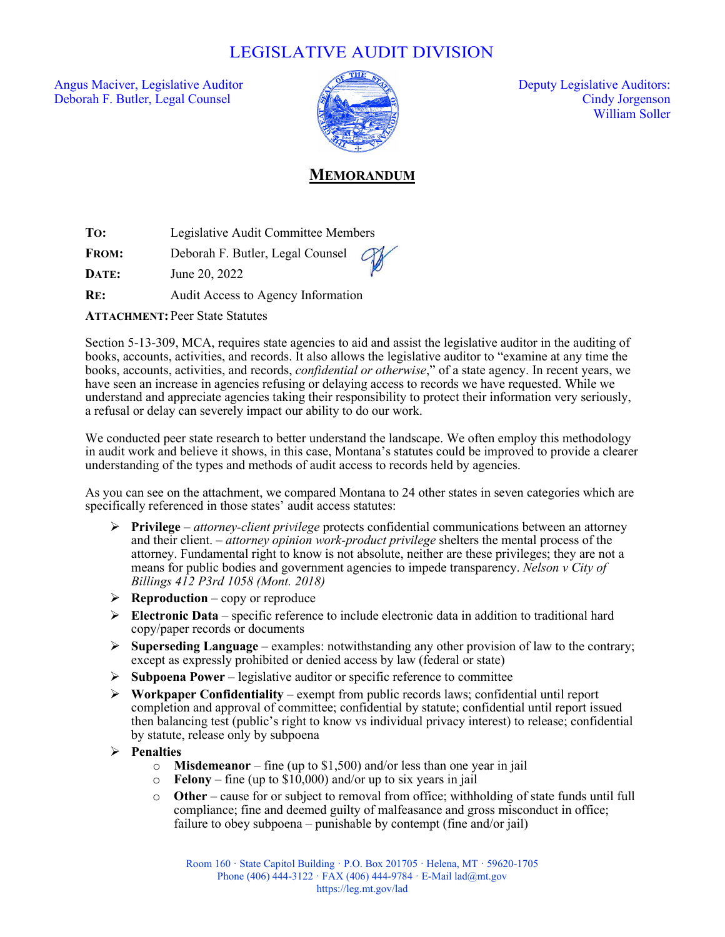## LEGISLATIVE AUDIT DIVISION

Angus Maciver, Legislative Auditor  $\sqrt{2}$  Deputy Legislative Auditors: Deborah F. Butler, Legal Counsel Cindy Jorgenson



William Soller

## **MEMORANDUM**

**TO:** Legislative Audit Committee Members

**FROM:** Deborah F. Butler, Legal Counsel

**DATE:** June 20, 2022

**RE:** Audit Access to Agency Information

**ATTACHMENT: Peer State Statutes** 

Section 5-13-309, MCA, requires state agencies to aid and assist the legislative auditor in the auditing of books, accounts, activities, and records. It also allows the legislative auditor to "examine at any time the books, accounts, activities, and records, *confidential or otherwise*," of a state agency. In recent years, we have seen an increase in agencies refusing or delaying access to records we have requested. While we understand and appreciate agencies taking their responsibility to protect their information very seriously, a refusal or delay can severely impact our ability to do our work.

We conducted peer state research to better understand the landscape. We often employ this methodology in audit work and believe it shows, in this case, Montana's statutes could be improved to provide a clearer understanding of the types and methods of audit access to records held by agencies.

As you can see on the attachment, we compared Montana to 24 other states in seven categories which are specifically referenced in those states' audit access statutes:

- **Privilege**  *attorney-client privilege* protects confidential communications between an attorney and their client. – *attorney opinion work-product privilege* shelters the mental process of the attorney. Fundamental right to know is not absolute, neither are these privileges; they are not a means for public bodies and government agencies to impede transparency. *Nelson v City of Billings 412 P3rd 1058 (Mont. 2018)*
- $\triangleright$  **Reproduction** copy or reproduce
- $\triangleright$  **Electronic Data** specific reference to include electronic data in addition to traditional hard copy/paper records or documents
- **Superseding Language** examples: notwithstanding any other provision of law to the contrary; except as expressly prohibited or denied access by law (federal or state)
- $\triangleright$  **Subpoena Power** legislative auditor or specific reference to committee
- **Workpaper Confidentiality** exempt from public records laws; confidential until report completion and approval of committee; confidential by statute; confidential until report issued then balancing test (public's right to know vs individual privacy interest) to release; confidential by statute, release only by subpoena

## **Penalties**

- o **Misdemeanor** fine (up to \$1,500) and/or less than one year in jail
- $\circ$  **Felony** fine (up to \$10,000) and/or up to six years in jail
- o **Other** cause for or subject to removal from office; withholding of state funds until full compliance; fine and deemed guilty of malfeasance and gross misconduct in office; failure to obey subpoena – punishable by contempt (fine and/or jail)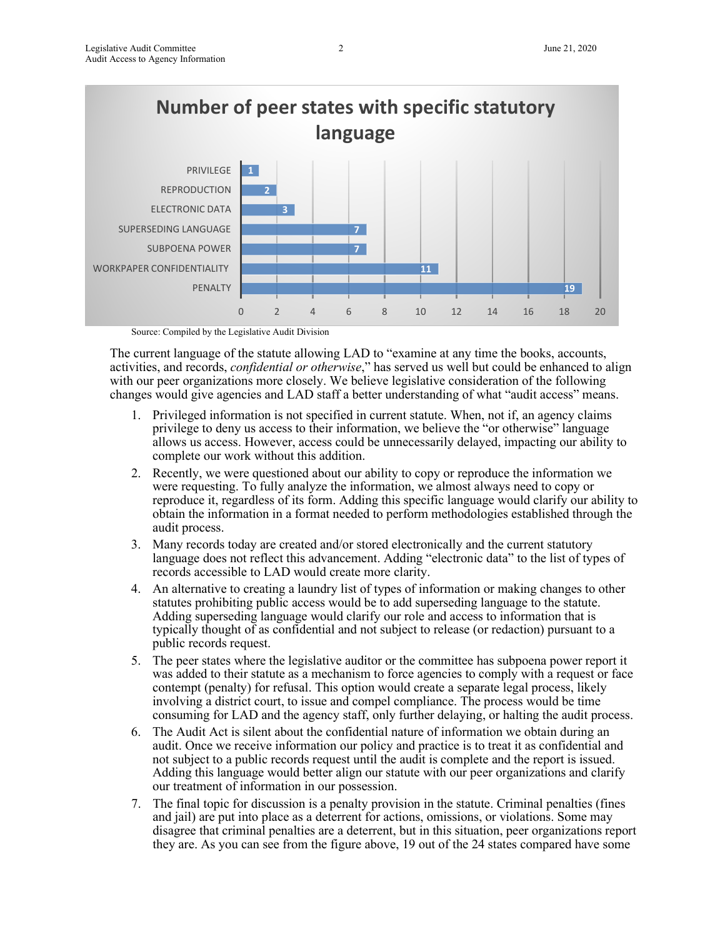

Source: Compiled by the Legislative Audit Division

The current language of the statute allowing LAD to "examine at any time the books, accounts, activities, and records, *confidential or otherwise*," has served us well but could be enhanced to align with our peer organizations more closely. We believe legislative consideration of the following changes would give agencies and LAD staff a better understanding of what "audit access" means.

- 1. Privileged information is not specified in current statute. When, not if, an agency claims privilege to deny us access to their information, we believe the "or otherwise" language allows us access. However, access could be unnecessarily delayed, impacting our ability to complete our work without this addition.
- 2. Recently, we were questioned about our ability to copy or reproduce the information we were requesting. To fully analyze the information, we almost always need to copy or reproduce it, regardless of its form. Adding this specific language would clarify our ability to obtain the information in a format needed to perform methodologies established through the audit process.
- 3. Many records today are created and/or stored electronically and the current statutory language does not reflect this advancement. Adding "electronic data" to the list of types of records accessible to LAD would create more clarity.
- 4. An alternative to creating a laundry list of types of information or making changes to other statutes prohibiting public access would be to add superseding language to the statute. Adding superseding language would clarify our role and access to information that is typically thought of as confidential and not subject to release (or redaction) pursuant to a public records request.
- 5. The peer states where the legislative auditor or the committee has subpoena power report it was added to their statute as a mechanism to force agencies to comply with a request or face contempt (penalty) for refusal. This option would create a separate legal process, likely involving a district court, to issue and compel compliance. The process would be time consuming for LAD and the agency staff, only further delaying, or halting the audit process.
- 6. The Audit Act is silent about the confidential nature of information we obtain during an audit. Once we receive information our policy and practice is to treat it as confidential and not subject to a public records request until the audit is complete and the report is issued. Adding this language would better align our statute with our peer organizations and clarify our treatment of information in our possession.
- 7. The final topic for discussion is a penalty provision in the statute. Criminal penalties (fines and jail) are put into place as a deterrent for actions, omissions, or violations. Some may disagree that criminal penalties are a deterrent, but in this situation, peer organizations report they are. As you can see from the figure above, 19 out of the 24 states compared have some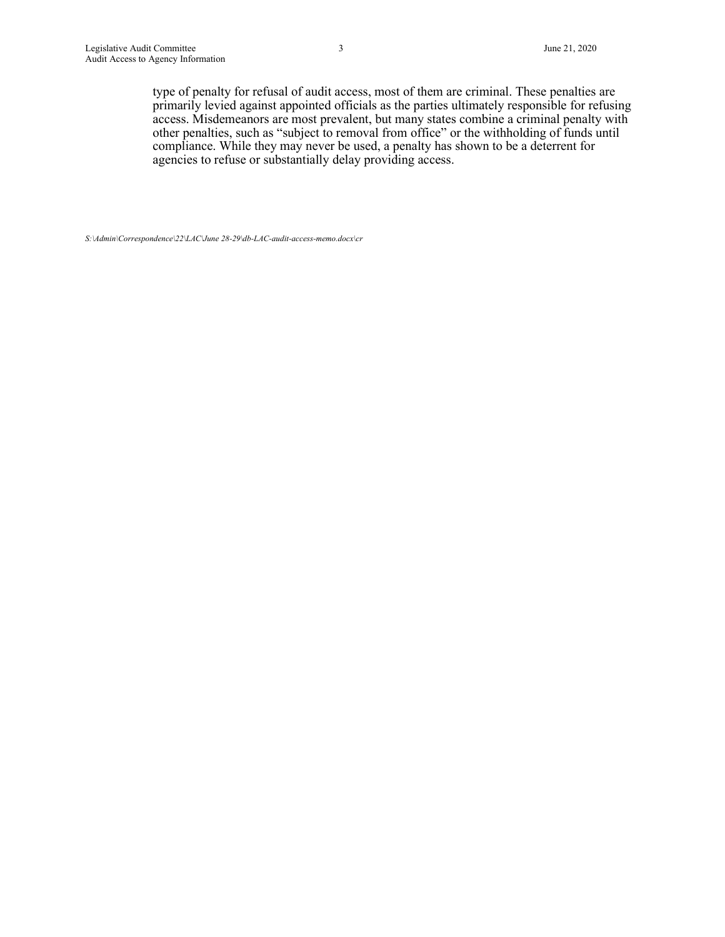type of penalty for refusal of audit access, most of them are criminal. These penalties are primarily levied against appointed officials as the parties ultimately responsible for refusing access. Misdemeanors are most prevalent, but many states combine a criminal penalty with other penalties, such as "subject to removal from office" or the withholding of funds until compliance. While they may never be used, a penalty has shown to be a deterrent for agencies to refuse or substantially delay providing access.

*S:\Admin\Correspondence\22\LAC\June 28-29\db-LAC-audit-access-memo.docx\cr*